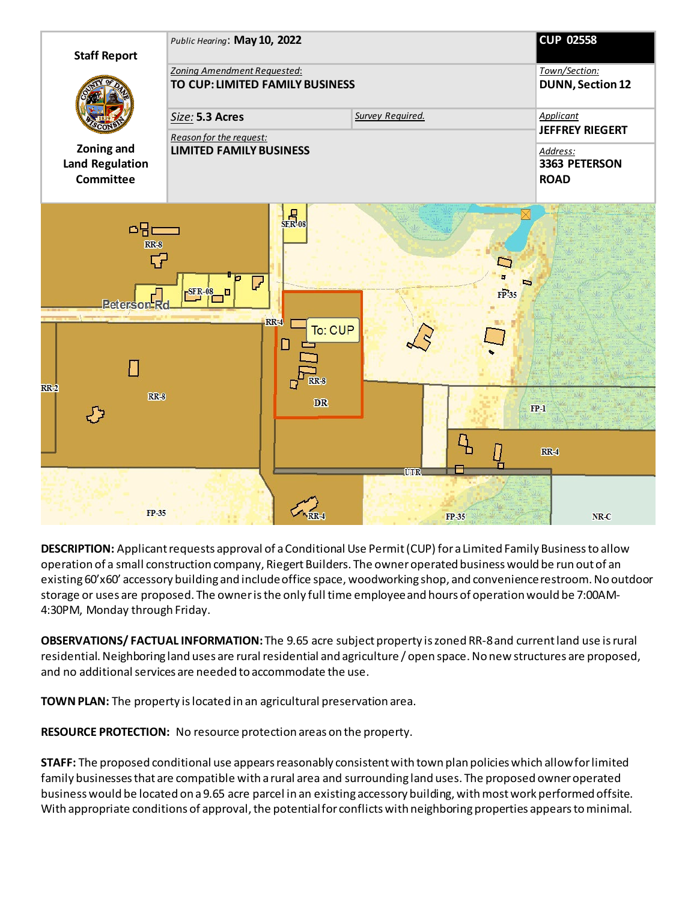

**DESCRIPTION:** Applicant requests approval of a Conditional Use Permit (CUP) for a Limited Family Business to allow operation of a small construction company, Riegert Builders. The owner operated business would be run out of an existing 60'x60' accessory building and include office space, woodworking shop, and convenience restroom. No outdoor storage or uses are proposed. The owner is the only full time employee and hours of operation would be 7:00AM-4:30PM, Monday through Friday.

**OBSERVATIONS/ FACTUAL INFORMATION:** The 9.65 acre subject property is zoned RR-8 and current land use is rural residential. Neighboring land uses are rural residential and agriculture / open space. No new structures are proposed, and no additional services are needed to accommodate the use.

**TOWN PLAN:** The property is located in an agricultural preservation area.

**RESOURCE PROTECTION:** No resource protection areas on the property.

**STAFF:** The proposed conditional use appears reasonably consistent with town plan policies which allow for limited family businesses that are compatible with a rural area and surrounding land uses. The proposed owner operated business would be located on a 9.65 acre parcel in an existing accessory building, with most work performed offsite. With appropriate conditions of approval, the potential for conflicts with neighboring properties appears tominimal.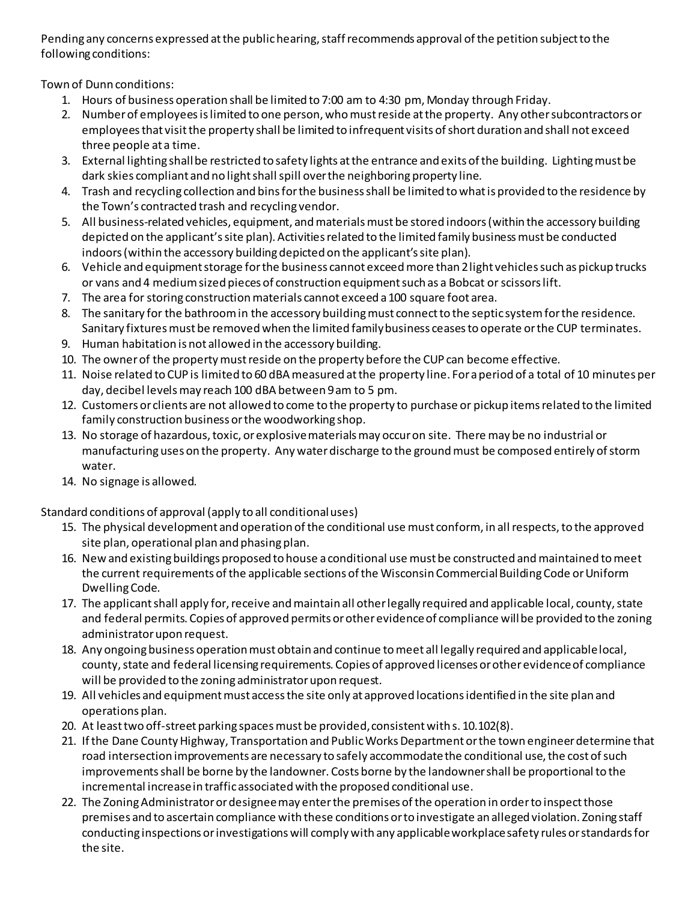Pending any concerns expressed at the public hearing, staff recommends approval of the petition subject to the following conditions:

Town of Dunn conditions:

- 1. Hours of business operation shall be limited to 7:00 am to 4:30 pm, Monday through Friday.
- 2. Number of employees is limited to one person, who must reside at the property. Any other subcontractors or employees that visit the property shall be limited to infrequent visits of short duration and shall not exceed three people at a time.
- 3. External lighting shall be restricted to safety lights at the entrance and exits of the building. Lighting must be dark skies compliant and no light shall spill over the neighboring property line.
- 4. Trash and recycling collection and bins for the business shall be limited to what is provided to the residence by the Town's contracted trash and recycling vendor.
- 5. All business-related vehicles, equipment, and materials must be stored indoors (within the accessory building depicted on the applicant's site plan). Activities related to the limited family business must be conducted indoors (within the accessory building depicted on the applicant's site plan).
- 6. Vehicle and equipment storage for the business cannot exceed more than 2 light vehicles such as pickup trucks or vans and 4 medium sized pieces of construction equipment such as a Bobcat or scissors lift.
- 7. The area for storing construction materials cannot exceed a 100 square foot area.
- 8. The sanitary for the bathroom in the accessory building must connect to the septic system for the residence. Sanitary fixtures must be removed when the limited family business ceases to operate or the CUP terminates.
- 9. Human habitation is not allowed in the accessory building.
- 10. The owner of the property must reside on the property before the CUP can become effective.
- 11. Noise related to CUP is limited to 60 dBA measured at the property line. For a period of a total of 10 minutes per day, decibel levels may reach 100 dBA between 9 am to 5 pm.
- 12. Customers or clients are not allowed to come to the property to purchase or pickup items related to the limited family construction business or the woodworking shop.
- 13. No storage of hazardous, toxic, or explosive materials may occur on site. There may be no industrial or manufacturing uses on the property. Any water discharge to the ground must be composed entirely of storm water.
- 14. No signage is allowed.

Standard conditions of approval (apply to all conditional uses)

- 15. The physical development and operation of the conditional use must conform, in all respects, to the approved site plan, operational plan and phasing plan.
- 16. New and existing buildings proposed to house a conditional use must be constructed andmaintained to meet the current requirements of the applicable sections of the Wisconsin Commercial Building Code or Uniform Dwelling Code.
- 17. The applicant shall apply for, receive and maintain all other legally required and applicable local, county, state and federal permits. Copies of approved permits or other evidence of compliance will be provided to the zoning administrator upon request.
- 18. Any ongoing business operation must obtain and continue to meet all legally required and applicable local, county, state and federal licensing requirements. Copies of approved licenses or other evidence of compliance will be provided to the zoning administrator upon request.
- 19. All vehicles and equipment must access the site only at approved locations identified in the site plan and operations plan.
- 20. At least two off-street parking spaces must be provided, consistent with s. 10.102(8).
- 21. If the Dane County Highway, Transportation and Public Works Department or the town engineer determine that road intersection improvements are necessary to safely accommodate the conditional use, the cost of such improvements shall be borne by the landowner. Costs borne by the landowner shall be proportional to the incremental increase in traffic associated with the proposed conditional use.
- 22. The Zoning Administrator or designee may enter the premises of the operation in order to inspect those premises and to ascertain compliance with these conditions or to investigate an alleged violation. Zoning staff conducting inspections or investigations will comply with any applicable workplace safety rules or standards for the site.